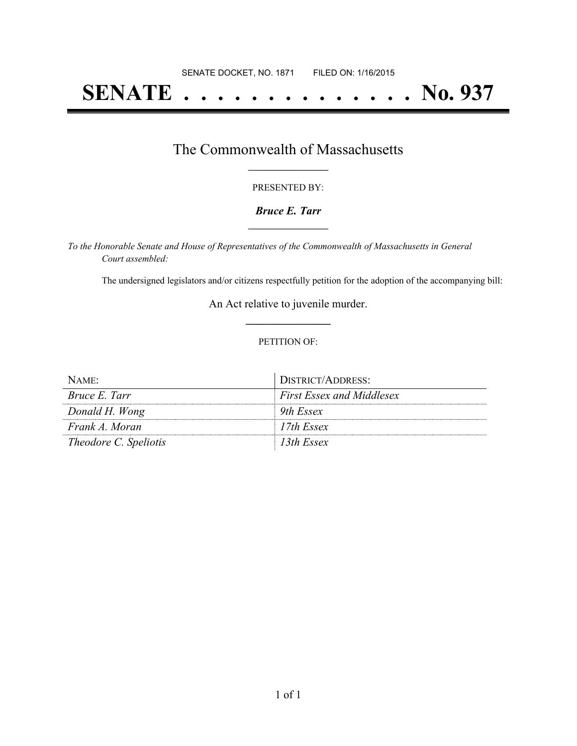# **SENATE . . . . . . . . . . . . . . No. 937**

### The Commonwealth of Massachusetts **\_\_\_\_\_\_\_\_\_\_\_\_\_\_\_\_\_**

#### PRESENTED BY:

#### *Bruce E. Tarr* **\_\_\_\_\_\_\_\_\_\_\_\_\_\_\_\_\_**

*To the Honorable Senate and House of Representatives of the Commonwealth of Massachusetts in General Court assembled:*

The undersigned legislators and/or citizens respectfully petition for the adoption of the accompanying bill:

An Act relative to juvenile murder. **\_\_\_\_\_\_\_\_\_\_\_\_\_\_\_**

#### PETITION OF:

| NAME:                 | DISTRICT/ADDRESS:         |
|-----------------------|---------------------------|
| Bruce E. Tarr         | First Essex and Middlesex |
| Donald H. Wong        | 9th Essex                 |
| Frank A. Moran        | 17th Essex                |
| Theodore C. Speliotis | 13th Essex                |